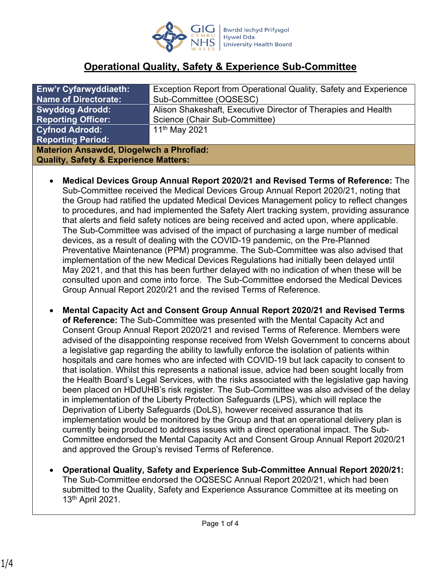

# **Operational Quality, Safety & Experience Sub-Committee**

| <b>Enw'r Cyfarwyddiaeth:</b>                     | Exception Report from Operational Quality, Safety and Experience |
|--------------------------------------------------|------------------------------------------------------------------|
| <b>Name of Directorate:</b>                      | Sub-Committee (OQSESC)                                           |
| <b>Swyddog Adrodd:</b>                           | Alison Shakeshaft, Executive Director of Therapies and Health    |
| <b>Reporting Officer:</b>                        | Science (Chair Sub-Committee)                                    |
| <b>Cyfnod Adrodd:</b>                            | 11 <sup>th</sup> May 2021                                        |
| <b>Reporting Period:</b>                         |                                                                  |
| <b>Materion Ansawdd, Diogelwch a Phrofiad:</b>   |                                                                  |
| <b>Quality, Safety &amp; Experience Matters:</b> |                                                                  |

- **Medical Devices Group Annual Report 2020/21 and Revised Terms of Reference:** The Sub-Committee received the Medical Devices Group Annual Report 2020/21, noting that the Group had ratified the updated Medical Devices Management policy to reflect changes to procedures, and had implemented the Safety Alert tracking system, providing assurance that alerts and field safety notices are being received and acted upon, where applicable. The Sub-Committee was advised of the impact of purchasing a large number of medical devices, as a result of dealing with the COVID-19 pandemic, on the Pre-Planned Preventative Maintenance (PPM) programme. The Sub-Committee was also advised that implementation of the new Medical Devices Regulations had initially been delayed until May 2021, and that this has been further delayed with no indication of when these will be consulted upon and come into force. The Sub-Committee endorsed the Medical Devices Group Annual Report 2020/21 and the revised Terms of Reference.
- **Mental Capacity Act and Consent Group Annual Report 2020/21 and Revised Terms of Reference:** The Sub-Committee was presented with the Mental Capacity Act and Consent Group Annual Report 2020/21 and revised Terms of Reference. Members were advised of the disappointing response received from Welsh Government to concerns about a legislative gap regarding the ability to lawfully enforce the isolation of patients within hospitals and care homes who are infected with COVID-19 but lack capacity to consent to that isolation. Whilst this represents a national issue, advice had been sought locally from the Health Board's Legal Services, with the risks associated with the legislative gap having been placed on HDdUHB's risk register. The Sub-Committee was also advised of the delay in implementation of the Liberty Protection Safeguards (LPS), which will replace the Deprivation of Liberty Safeguards (DoLS), however received assurance that its implementation would be monitored by the Group and that an operational delivery plan is currently being produced to address issues with a direct operational impact. The Sub-Committee endorsed the Mental Capacity Act and Consent Group Annual Report 2020/21 and approved the Group's revised Terms of Reference.
- **Operational Quality, Safety and Experience Sub-Committee Annual Report 2020/21:**  The Sub-Committee endorsed the OQSESC Annual Report 2020/21, which had been submitted to the Quality, Safety and Experience Assurance Committee at its meeting on 13th April 2021.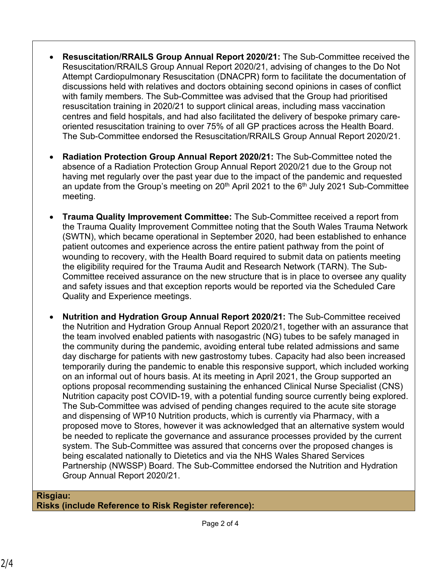- **Resuscitation/RRAILS Group Annual Report 2020/21:** The Sub-Committee received the Resuscitation/RRAILS Group Annual Report 2020/21, advising of changes to the Do Not Attempt Cardiopulmonary Resuscitation (DNACPR) form to facilitate the documentation of discussions held with relatives and doctors obtaining second opinions in cases of conflict with family members. The Sub-Committee was advised that the Group had prioritised resuscitation training in 2020/21 to support clinical areas, including mass vaccination centres and field hospitals, and had also facilitated the delivery of bespoke primary careoriented resuscitation training to over 75% of all GP practices across the Health Board. The Sub-Committee endorsed the Resuscitation/RRAILS Group Annual Report 2020/21.
- **Radiation Protection Group Annual Report 2020/21:** The Sub-Committee noted the absence of a Radiation Protection Group Annual Report 2020/21 due to the Group not having met regularly over the past year due to the impact of the pandemic and requested an update from the Group's meeting on  $20<sup>th</sup>$  April 2021 to the  $6<sup>th</sup>$  July 2021 Sub-Committee meeting.
- **Trauma Quality Improvement Committee:** The Sub-Committee received a report from the Trauma Quality Improvement Committee noting that the South Wales Trauma Network (SWTN), which became operational in September 2020, had been established to enhance patient outcomes and experience across the entire patient pathway from the point of wounding to recovery, with the Health Board required to submit data on patients meeting the eligibility required for the Trauma Audit and Research Network (TARN). The Sub-Committee received assurance on the new structure that is in place to oversee any quality and safety issues and that exception reports would be reported via the Scheduled Care Quality and Experience meetings.
- **Nutrition and Hydration Group Annual Report 2020/21:** The Sub-Committee received the Nutrition and Hydration Group Annual Report 2020/21, together with an assurance that the team involved enabled patients with nasogastric (NG) tubes to be safely managed in the community during the pandemic, avoiding enteral tube related admissions and same day discharge for patients with new gastrostomy tubes. Capacity had also been increased temporarily during the pandemic to enable this responsive support, which included working on an informal out of hours basis. At its meeting in April 2021, the Group supported an options proposal recommending sustaining the enhanced Clinical Nurse Specialist (CNS) Nutrition capacity post COVID-19, with a potential funding source currently being explored. The Sub-Committee was advised of pending changes required to the acute site storage and dispensing of WP10 Nutrition products, which is currently via Pharmacy, with a proposed move to Stores, however it was acknowledged that an alternative system would be needed to replicate the governance and assurance processes provided by the current system. The Sub-Committee was assured that concerns over the proposed changes is being escalated nationally to Dietetics and via the NHS Wales Shared Services Partnership (NWSSP) Board. The Sub-Committee endorsed the Nutrition and Hydration Group Annual Report 2020/21.

#### **Risgiau: Risks (include Reference to Risk Register reference):**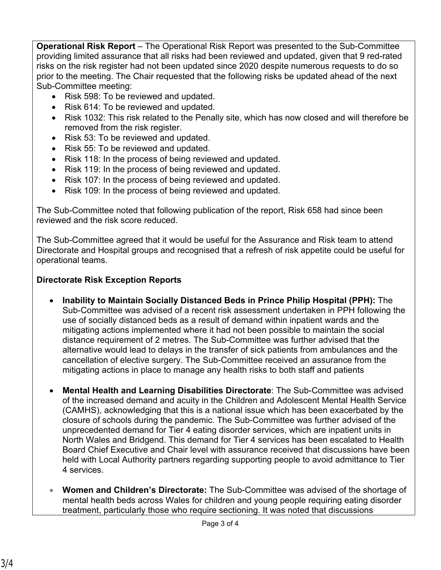**Operational Risk Report** – The Operational Risk Report was presented to the Sub-Committee providing limited assurance that all risks had been reviewed and updated, given that 9 red-rated risks on the risk register had not been updated since 2020 despite numerous requests to do so prior to the meeting. The Chair requested that the following risks be updated ahead of the next Sub-Committee meeting:

- Risk 598: To be reviewed and updated.
- Risk 614: To be reviewed and updated.
- Risk 1032: This risk related to the Penally site, which has now closed and will therefore be removed from the risk register.
- Risk 53: To be reviewed and updated.
- Risk 55: To be reviewed and updated.
- Risk 118: In the process of being reviewed and updated.
- Risk 119: In the process of being reviewed and updated.
- Risk 107: In the process of being reviewed and updated.
- Risk 109: In the process of being reviewed and updated.

The Sub-Committee noted that following publication of the report, Risk 658 had since been reviewed and the risk score reduced.

The Sub-Committee agreed that it would be useful for the Assurance and Risk team to attend Directorate and Hospital groups and recognised that a refresh of risk appetite could be useful for operational teams.

## **Directorate Risk Exception Reports**

- **Inability to Maintain Socially Distanced Beds in Prince Philip Hospital (PPH):** The Sub-Committee was advised of a recent risk assessment undertaken in PPH following the use of socially distanced beds as a result of demand within inpatient wards and the mitigating actions implemented where it had not been possible to maintain the social distance requirement of 2 metres. The Sub-Committee was further advised that the alternative would lead to delays in the transfer of sick patients from ambulances and the cancellation of elective surgery. The Sub-Committee received an assurance from the mitigating actions in place to manage any health risks to both staff and patients
- **Mental Health and Learning Disabilities Directorate**: The Sub-Committee was advised of the increased demand and acuity in the Children and Adolescent Mental Health Service (CAMHS), acknowledging that this is a national issue which has been exacerbated by the closure of schools during the pandemic. The Sub-Committee was further advised of the unprecedented demand for Tier 4 eating disorder services, which are inpatient units in North Wales and Bridgend. This demand for Tier 4 services has been escalated to Health Board Chief Executive and Chair level with assurance received that discussions have been held with Local Authority partners regarding supporting people to avoid admittance to Tier 4 services.
- **Women and Children's Directorate:** The Sub-Committee was advised of the shortage of mental health beds across Wales for children and young people requiring eating disorder treatment, particularly those who require sectioning. It was noted that discussions